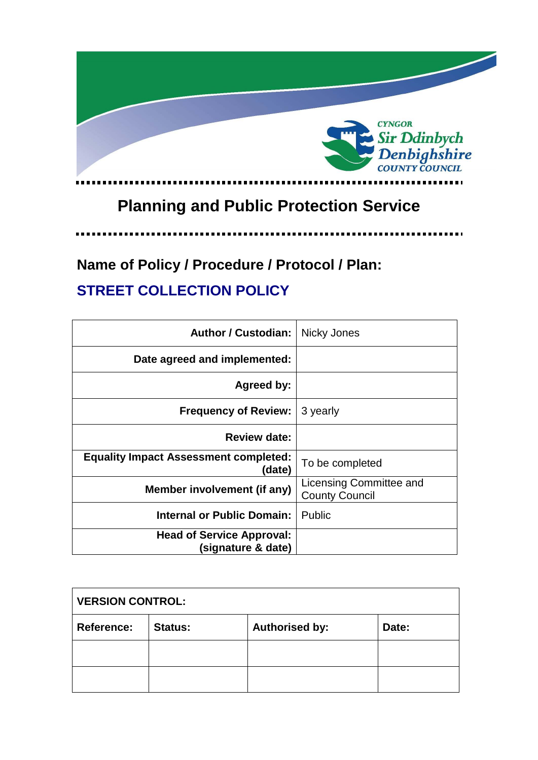

# **Planning and Public Protection Service**

. . . . .

# **Name of Policy / Procedure / Protocol / Plan:**

## **STREET COLLECTION POLICY**

| <b>Author / Custodian:</b>                             | Nicky Jones                                      |  |
|--------------------------------------------------------|--------------------------------------------------|--|
| Date agreed and implemented:                           |                                                  |  |
| Agreed by:                                             |                                                  |  |
| <b>Frequency of Review:</b>                            | 3 yearly                                         |  |
| <b>Review date:</b>                                    |                                                  |  |
| <b>Equality Impact Assessment completed:</b><br>(date) | To be completed                                  |  |
| Member involvement (if any)                            | Licensing Committee and<br><b>County Council</b> |  |
| <b>Internal or Public Domain:</b>                      | <b>Public</b>                                    |  |
| <b>Head of Service Approval:</b><br>(signature & date) |                                                  |  |

| <b>VERSION CONTROL:</b> |                |                       |       |
|-------------------------|----------------|-----------------------|-------|
| <b>Reference:</b>       | <b>Status:</b> | <b>Authorised by:</b> | Date: |
|                         |                |                       |       |
|                         |                |                       |       |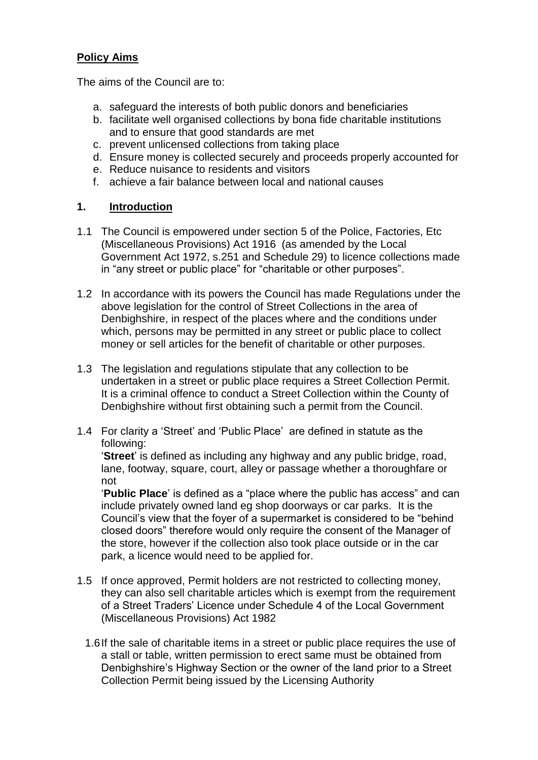#### **Policy Aims**

The aims of the Council are to:

- a. safeguard the interests of both public donors and beneficiaries
- b. facilitate well organised collections by bona fide charitable institutions and to ensure that good standards are met
- c. prevent unlicensed collections from taking place
- d. Ensure money is collected securely and proceeds properly accounted for
- e. Reduce nuisance to residents and visitors
- f. achieve a fair balance between local and national causes

#### **1. Introduction**

- 1.1 The Council is empowered under section 5 of the Police, Factories, Etc (Miscellaneous Provisions) Act 1916 (as amended by the Local Government Act 1972, s.251 and Schedule 29) to licence collections made in "any street or public place" for "charitable or other purposes".
- 1.2 In accordance with its powers the Council has made Regulations under the above legislation for the control of Street Collections in the area of Denbighshire, in respect of the places where and the conditions under which, persons may be permitted in any street or public place to collect money or sell articles for the benefit of charitable or other purposes.
- 1.3 The legislation and regulations stipulate that any collection to be undertaken in a street or public place requires a Street Collection Permit. It is a criminal offence to conduct a Street Collection within the County of Denbighshire without first obtaining such a permit from the Council.
- 1.4 For clarity a 'Street' and 'Public Place' are defined in statute as the following:

'**Street**' is defined as including any highway and any public bridge, road, lane, footway, square, court, alley or passage whether a thoroughfare or not

'**Public Place**' is defined as a "place where the public has access" and can include privately owned land eg shop doorways or car parks. It is the Council's view that the foyer of a supermarket is considered to be "behind closed doors" therefore would only require the consent of the Manager of the store, however if the collection also took place outside or in the car park, a licence would need to be applied for.

- 1.5 If once approved, Permit holders are not restricted to collecting money, they can also sell charitable articles which is exempt from the requirement of a Street Traders' Licence under Schedule 4 of the Local Government (Miscellaneous Provisions) Act 1982
	- 1.6If the sale of charitable items in a street or public place requires the use of a stall or table, written permission to erect same must be obtained from Denbighshire's Highway Section or the owner of the land prior to a Street Collection Permit being issued by the Licensing Authority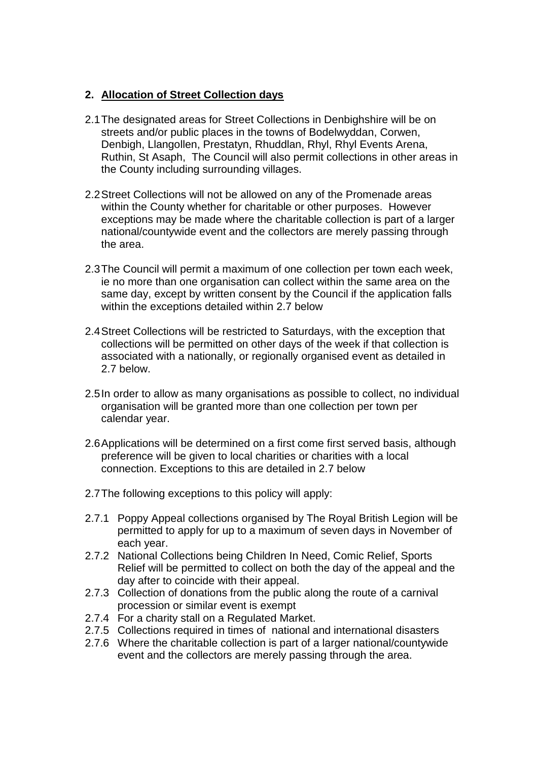#### **2. Allocation of Street Collection days**

- 2.1The designated areas for Street Collections in Denbighshire will be on streets and/or public places in the towns of Bodelwyddan, Corwen, Denbigh, Llangollen, Prestatyn, Rhuddlan, Rhyl, Rhyl Events Arena, Ruthin, St Asaph, The Council will also permit collections in other areas in the County including surrounding villages.
- 2.2Street Collections will not be allowed on any of the Promenade areas within the County whether for charitable or other purposes. However exceptions may be made where the charitable collection is part of a larger national/countywide event and the collectors are merely passing through the area.
- 2.3The Council will permit a maximum of one collection per town each week, ie no more than one organisation can collect within the same area on the same day, except by written consent by the Council if the application falls within the exceptions detailed within 2.7 below
- 2.4Street Collections will be restricted to Saturdays, with the exception that collections will be permitted on other days of the week if that collection is associated with a nationally, or regionally organised event as detailed in 2.7 below.
- 2.5In order to allow as many organisations as possible to collect, no individual organisation will be granted more than one collection per town per calendar year.
- 2.6Applications will be determined on a first come first served basis, although preference will be given to local charities or charities with a local connection. Exceptions to this are detailed in 2.7 below
- 2.7The following exceptions to this policy will apply:
- 2.7.1 Poppy Appeal collections organised by The Royal British Legion will be permitted to apply for up to a maximum of seven days in November of each year.
- 2.7.2 National Collections being Children In Need, Comic Relief, Sports Relief will be permitted to collect on both the day of the appeal and the day after to coincide with their appeal.
- 2.7.3 Collection of donations from the public along the route of a carnival procession or similar event is exempt
- 2.7.4 For a charity stall on a Regulated Market.
- 2.7.5 Collections required in times of national and international disasters
- 2.7.6 Where the charitable collection is part of a larger national/countywide event and the collectors are merely passing through the area.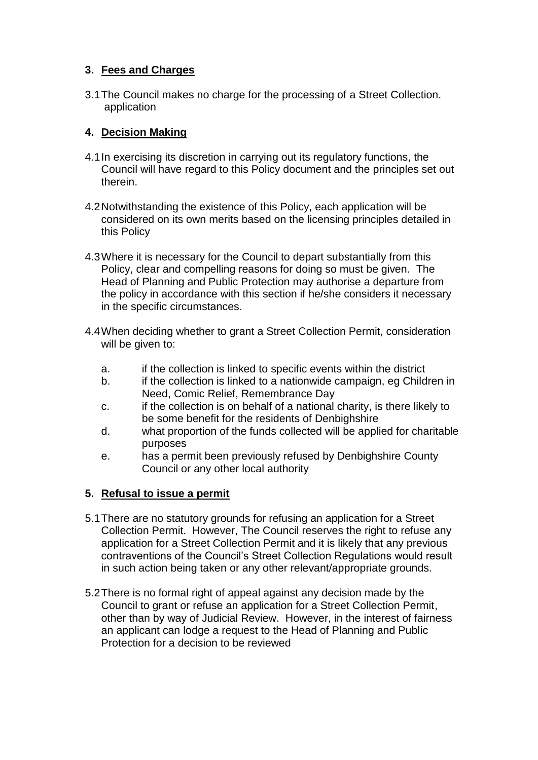#### **3. Fees and Charges**

3.1The Council makes no charge for the processing of a Street Collection. application

#### **4. Decision Making**

- 4.1In exercising its discretion in carrying out its regulatory functions, the Council will have regard to this Policy document and the principles set out therein.
- 4.2Notwithstanding the existence of this Policy, each application will be considered on its own merits based on the licensing principles detailed in this Policy
- 4.3Where it is necessary for the Council to depart substantially from this Policy, clear and compelling reasons for doing so must be given. The Head of Planning and Public Protection may authorise a departure from the policy in accordance with this section if he/she considers it necessary in the specific circumstances.
- 4.4When deciding whether to grant a Street Collection Permit, consideration will be given to:
	- a. if the collection is linked to specific events within the district
	- b. if the collection is linked to a nationwide campaign, eg Children in Need, Comic Relief, Remembrance Day
	- c. if the collection is on behalf of a national charity, is there likely to be some benefit for the residents of Denbighshire
	- d. what proportion of the funds collected will be applied for charitable purposes
	- e. has a permit been previously refused by Denbighshire County Council or any other local authority

### **5. Refusal to issue a permit**

- 5.1There are no statutory grounds for refusing an application for a Street Collection Permit. However, The Council reserves the right to refuse any application for a Street Collection Permit and it is likely that any previous contraventions of the Council's Street Collection Regulations would result in such action being taken or any other relevant/appropriate grounds.
- 5.2There is no formal right of appeal against any decision made by the Council to grant or refuse an application for a Street Collection Permit, other than by way of Judicial Review. However, in the interest of fairness an applicant can lodge a request to the Head of Planning and Public Protection for a decision to be reviewed